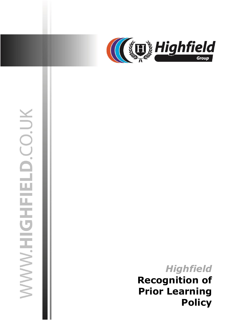

# WWW.HIGHFIELD.CO.UK

04 July 2019 jasonsprenger

# *Highfield* **Recognition of Prior Learning<br>Policy**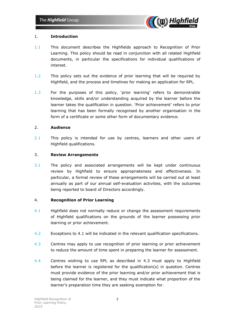

### 1. **Introduction**

- 1.1 This document describes the Highfields approach to Recognition of Prior Learning. This policy should be read in conjunction with all related Highfield documents, in particular the specifications for individual qualifications of interest.
- 1.2 This policy sets out the evidence of prior learning that will be required by Highfield, and the process and timelines for making an application for RPL.
- 1.3 For the purposes of this policy, 'prior learning' refers to demonstrable knowledge, skills and/or understanding acquired by the learner before the learner takes the qualification in question. 'Prior achievement' refers to prior learning that has been formally recognised by another organisation in the form of a certificate or some other form of documentary evidence.

### 2. **Audience**

2.1 This policy is intended for use by centres, learners and other users of Highfield qualifications.

### 3. **Review Arrangements**

3.1 The policy and associated arrangements will be kept under continuous review by Highfield to ensure appropriateness and effectiveness. In particular, a formal review of these arrangements will be carried out at least annually as part of our annual self-evaluation activities, with the outcomes being reported to board of Directors accordingly.

### 4. **Recognition of Prior Learning**

- 4.1 Highfield does not normally reduce or change the assessment requirements of Highfield qualifications on the grounds of the learner possessing prior learning or prior achievement.
- 4.2 Exceptions to 4.1 will be indicated in the relevant qualification specifications.
- 4.3 Centres may apply to use recognition of prior learning or prior achievement to reduce the amount of time spent in preparing the learner for assessment.
- 4.4 Centres wishing to use RPL as described in 4.3 must apply to Highfield before the learner is registered for the qualification(s) in question. Centres must provide evidence of the prior learning and/or prior achievement that is being claimed for the learner, and they must indicate what proportion of the learner's preparation time they are seeking exemption for.